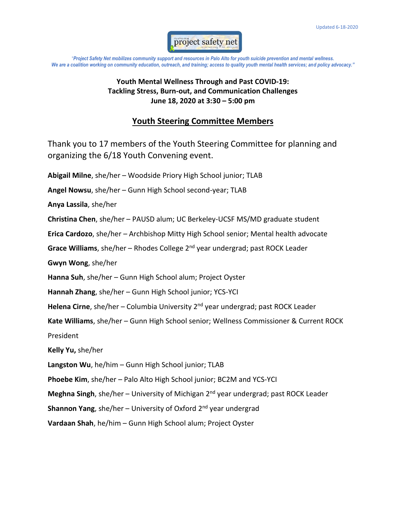

"*Project Safety Net mobilizes community support and resources in Palo Alto for youth suicide prevention and mental wellness. We are a coalition working on community education, outreach, and training; access to quality youth mental health services; and policy advocacy."*

## **Youth Mental Wellness Through and Past COVID-19: Tackling Stress, Burn-out, and Communication Challenges June 18, 2020 at 3:30 – 5:00 pm**

## **Youth Steering Committee Members**

Thank you to 17 members of the Youth Steering Committee for planning and organizing the 6/18 Youth Convening event.

**Abigail Milne**, she/her – Woodside Priory High School junior; TLAB **Angel Nowsu**, she/her – Gunn High School second-year; TLAB **Anya Lassila**, she/her **Christina Chen**, she/her – PAUSD alum; UC Berkeley-UCSF MS/MD graduate student **Erica Cardozo**, she/her – Archbishop Mitty High School senior; Mental health advocate Grace Williams, she/her - Rhodes College 2<sup>nd</sup> year undergrad; past ROCK Leader **Gwyn Wong**, she/her **Hanna Suh**, she/her – Gunn High School alum; Project Oyster **Hannah Zhang**, she/her – Gunn High School junior; YCS-YCI Helena Cirne, she/her – Columbia University 2<sup>nd</sup> year undergrad; past ROCK Leader **Kate Williams**, she/her – Gunn High School senior; Wellness Commissioner & Current ROCK President **Kelly Yu,** she/her **Langston Wu**, he/him – Gunn High School junior; TLAB **Phoebe Kim**, she/her – Palo Alto High School junior; BC2M and YCS-YCI Meghna Singh, she/her - University of Michigan 2<sup>nd</sup> year undergrad; past ROCK Leader **Shannon Yang**, she/her – University of Oxford 2<sup>nd</sup> year undergrad **Vardaan Shah**, he/him – Gunn High School alum; Project Oyster